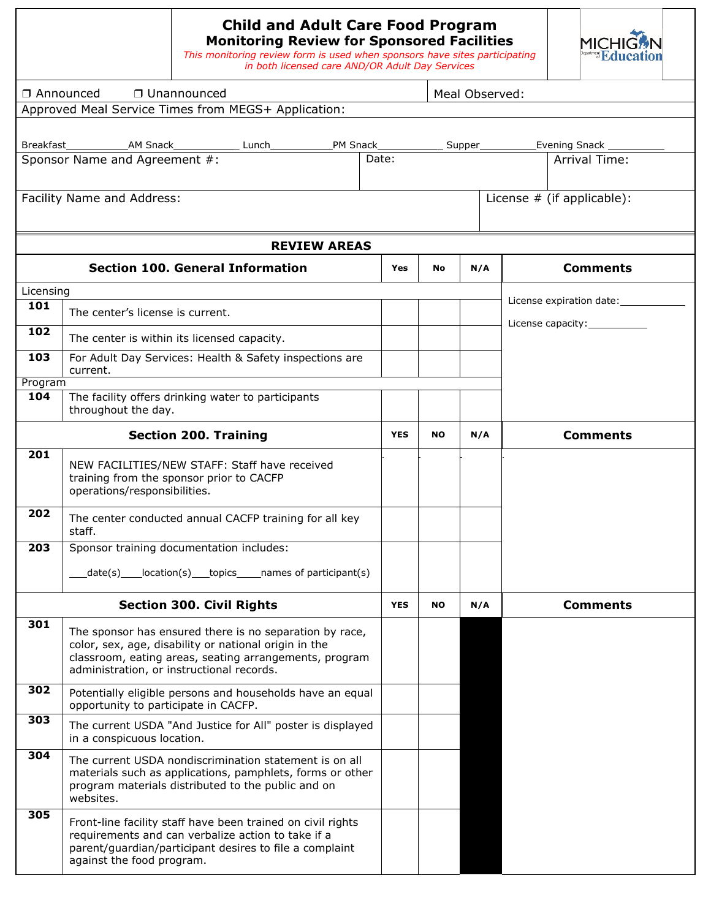| <b>Child and Adult Care Food Program</b><br><b>Monitoring Review for Sponsored Facilities</b><br>This monitoring review form is used when sponsors have sites participating<br>in both licensed care AND/OR Adult Day Services | <b>MICHIGAN</b><br><b>Education</b> |  |
|--------------------------------------------------------------------------------------------------------------------------------------------------------------------------------------------------------------------------------|-------------------------------------|--|
|                                                                                                                                                                                                                                |                                     |  |
|                                                                                                                                                                                                                                |                                     |  |

| □ Announced                | □ Unannounced                                       |       |          | Meal Observed: |                              |
|----------------------------|-----------------------------------------------------|-------|----------|----------------|------------------------------|
|                            | Approved Meal Service Times from MEGS+ Application: |       |          |                |                              |
|                            |                                                     |       |          |                |                              |
| Breakfast                  | AM Snack <b>Same</b>                                | Lunch | PM Snack | Supper         | Evening Snack _____          |
|                            | Sponsor Name and Agreement #:                       |       | Date:    |                | Arrival Time:                |
| Facility Name and Address: |                                                     |       |          |                | License $#$ (if applicable): |
|                            |                                                     |       |          |                |                              |

|           | <b>REVIEW AREAS</b>                                                                                                                                                                                                     |            |           |     |                                                                        |
|-----------|-------------------------------------------------------------------------------------------------------------------------------------------------------------------------------------------------------------------------|------------|-----------|-----|------------------------------------------------------------------------|
|           | <b>Section 100. General Information</b>                                                                                                                                                                                 | <b>Yes</b> | <b>No</b> | N/A | <b>Comments</b>                                                        |
| Licensing |                                                                                                                                                                                                                         |            |           |     |                                                                        |
| 101       | The center's license is current.                                                                                                                                                                                        |            |           |     | License expiration date: ____________<br>License capacity:____________ |
| 102       | The center is within its licensed capacity.                                                                                                                                                                             |            |           |     |                                                                        |
| 103       | For Adult Day Services: Health & Safety inspections are<br>current.                                                                                                                                                     |            |           |     |                                                                        |
| Program   |                                                                                                                                                                                                                         |            |           |     |                                                                        |
| 104       | The facility offers drinking water to participants<br>throughout the day.                                                                                                                                               |            |           |     |                                                                        |
|           | <b>Section 200. Training</b>                                                                                                                                                                                            | <b>YES</b> | <b>NO</b> | N/A | <b>Comments</b>                                                        |
| 201       | NEW FACILITIES/NEW STAFF: Staff have received<br>training from the sponsor prior to CACFP<br>operations/responsibilities.                                                                                               |            |           |     |                                                                        |
| 202       | The center conducted annual CACFP training for all key<br>staff.                                                                                                                                                        |            |           |     |                                                                        |
| 203       | Sponsor training documentation includes:                                                                                                                                                                                |            |           |     |                                                                        |
|           | date(s) location(s) topics names of participant(s)                                                                                                                                                                      |            |           |     |                                                                        |
|           | <b>Section 300. Civil Rights</b>                                                                                                                                                                                        | <b>YES</b> | <b>NO</b> | N/A | <b>Comments</b>                                                        |
| 301       | The sponsor has ensured there is no separation by race,<br>color, sex, age, disability or national origin in the<br>classroom, eating areas, seating arrangements, program<br>administration, or instructional records. |            |           |     |                                                                        |
| 302       | Potentially eligible persons and households have an equal<br>opportunity to participate in CACFP.                                                                                                                       |            |           |     |                                                                        |
| 303       | The current USDA "And Justice for All" poster is displayed<br>in a conspicuous location.                                                                                                                                |            |           |     |                                                                        |
| 304       | The current USDA nondiscrimination statement is on all<br>materials such as applications, pamphlets, forms or other<br>program materials distributed to the public and on<br>websites.                                  |            |           |     |                                                                        |
| 305       | Front-line facility staff have been trained on civil rights<br>requirements and can verbalize action to take if a<br>parent/guardian/participant desires to file a complaint<br>against the food program.               |            |           |     |                                                                        |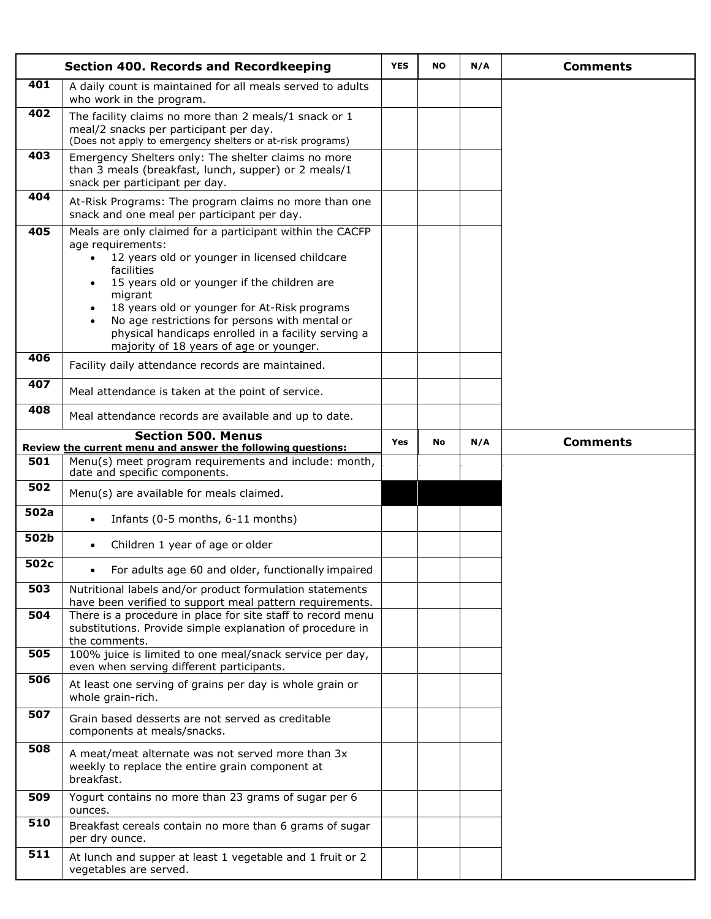|      | <b>Section 400. Records and Recordkeeping</b>                                                                                                                                                                                                                                                                                                                                                                                                      | <b>YES</b> | <b>NO</b> | N/A | <b>Comments</b> |
|------|----------------------------------------------------------------------------------------------------------------------------------------------------------------------------------------------------------------------------------------------------------------------------------------------------------------------------------------------------------------------------------------------------------------------------------------------------|------------|-----------|-----|-----------------|
| 401  | A daily count is maintained for all meals served to adults<br>who work in the program.                                                                                                                                                                                                                                                                                                                                                             |            |           |     |                 |
| 402  | The facility claims no more than 2 meals/1 snack or 1<br>meal/2 snacks per participant per day.<br>(Does not apply to emergency shelters or at-risk programs)                                                                                                                                                                                                                                                                                      |            |           |     |                 |
| 403  | Emergency Shelters only: The shelter claims no more<br>than 3 meals (breakfast, lunch, supper) or 2 meals/1<br>snack per participant per day.                                                                                                                                                                                                                                                                                                      |            |           |     |                 |
| 404  | At-Risk Programs: The program claims no more than one<br>snack and one meal per participant per day.                                                                                                                                                                                                                                                                                                                                               |            |           |     |                 |
| 405  | Meals are only claimed for a participant within the CACFP<br>age requirements:<br>12 years old or younger in licensed childcare<br>$\bullet$<br>facilities<br>15 years old or younger if the children are<br>$\bullet$<br>migrant<br>18 years old or younger for At-Risk programs<br>No age restrictions for persons with mental or<br>$\bullet$<br>physical handicaps enrolled in a facility serving a<br>majority of 18 years of age or younger. |            |           |     |                 |
| 406  | Facility daily attendance records are maintained.                                                                                                                                                                                                                                                                                                                                                                                                  |            |           |     |                 |
| 407  | Meal attendance is taken at the point of service.                                                                                                                                                                                                                                                                                                                                                                                                  |            |           |     |                 |
| 408  | Meal attendance records are available and up to date.                                                                                                                                                                                                                                                                                                                                                                                              |            |           |     |                 |
|      | <b>Section 500. Menus</b><br>Review the current menu and answer the following questions:                                                                                                                                                                                                                                                                                                                                                           | <b>Yes</b> | <b>No</b> | N/A | <b>Comments</b> |
| 501  | Menu(s) meet program requirements and include: month,<br>date and specific components.                                                                                                                                                                                                                                                                                                                                                             |            |           |     |                 |
| 502  | Menu(s) are available for meals claimed.                                                                                                                                                                                                                                                                                                                                                                                                           |            |           |     |                 |
| 502a | Infants (0-5 months, 6-11 months)<br>$\bullet$                                                                                                                                                                                                                                                                                                                                                                                                     |            |           |     |                 |
| 502b | Children 1 year of age or older<br>$\bullet$                                                                                                                                                                                                                                                                                                                                                                                                       |            |           |     |                 |
| 502c | For adults age 60 and older, functionally impaired                                                                                                                                                                                                                                                                                                                                                                                                 |            |           |     |                 |
| 503  | Nutritional labels and/or product formulation statements<br>have been verified to support meal pattern requirements.                                                                                                                                                                                                                                                                                                                               |            |           |     |                 |
| 504  | There is a procedure in place for site staff to record menu<br>substitutions. Provide simple explanation of procedure in<br>the comments.                                                                                                                                                                                                                                                                                                          |            |           |     |                 |
| 505  | 100% juice is limited to one meal/snack service per day,<br>even when serving different participants.                                                                                                                                                                                                                                                                                                                                              |            |           |     |                 |
| 506  | At least one serving of grains per day is whole grain or<br>whole grain-rich.                                                                                                                                                                                                                                                                                                                                                                      |            |           |     |                 |
| 507  | Grain based desserts are not served as creditable<br>components at meals/snacks.                                                                                                                                                                                                                                                                                                                                                                   |            |           |     |                 |
| 508  | A meat/meat alternate was not served more than 3x<br>weekly to replace the entire grain component at<br>breakfast.                                                                                                                                                                                                                                                                                                                                 |            |           |     |                 |
| 509  | Yogurt contains no more than 23 grams of sugar per 6<br>ounces.                                                                                                                                                                                                                                                                                                                                                                                    |            |           |     |                 |
| 510  | Breakfast cereals contain no more than 6 grams of sugar<br>per dry ounce.                                                                                                                                                                                                                                                                                                                                                                          |            |           |     |                 |
| 511  | At lunch and supper at least 1 vegetable and 1 fruit or 2<br>vegetables are served.                                                                                                                                                                                                                                                                                                                                                                |            |           |     |                 |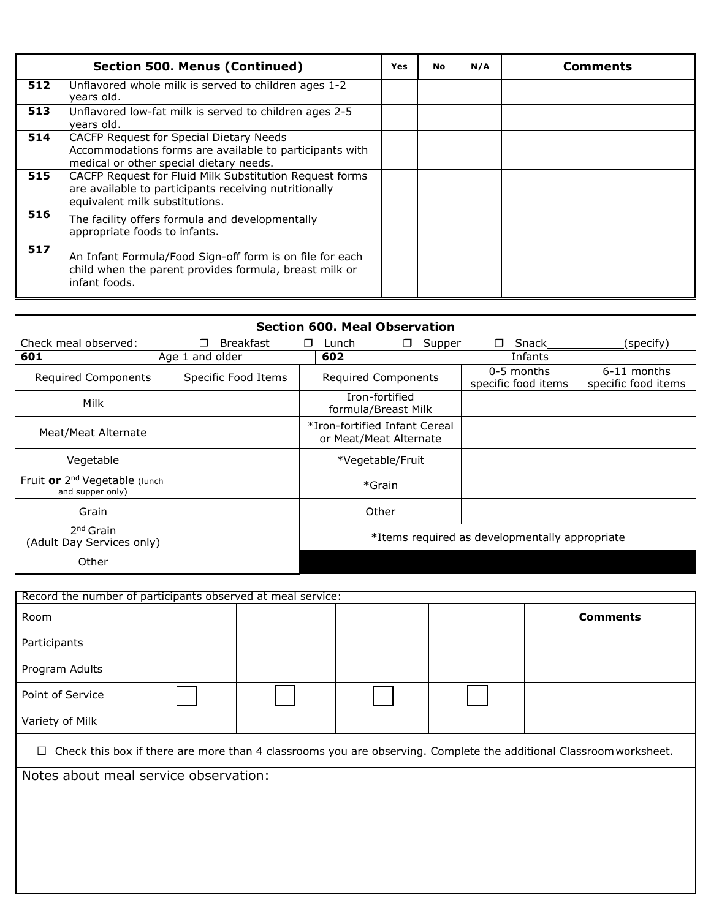|     | <b>Section 500. Menus (Continued)</b>                                                                                                              | <b>Yes</b> | <b>No</b> | N/A | <b>Comments</b> |
|-----|----------------------------------------------------------------------------------------------------------------------------------------------------|------------|-----------|-----|-----------------|
| 512 | Unflavored whole milk is served to children ages 1-2<br>years old.                                                                                 |            |           |     |                 |
| 513 | Unflavored low-fat milk is served to children ages 2-5<br>years old.                                                                               |            |           |     |                 |
| 514 | CACFP Request for Special Dietary Needs<br>Accommodations forms are available to participants with<br>medical or other special dietary needs.      |            |           |     |                 |
| 515 | CACFP Request for Fluid Milk Substitution Request forms<br>are available to participants receiving nutritionally<br>equivalent milk substitutions. |            |           |     |                 |
| 516 | The facility offers formula and developmentally<br>appropriate foods to infants.                                                                   |            |           |     |                 |
| 517 | An Infant Formula/Food Sign-off form is on file for each<br>child when the parent provides formula, breast milk or<br>infant foods.                |            |           |     |                 |

|                            | <b>Section 600. Meal Observation</b>                                           |                                    |        |       |                                       |        |                                                |                                    |  |  |  |  |  |  |  |
|----------------------------|--------------------------------------------------------------------------------|------------------------------------|--------|-------|---------------------------------------|--------|------------------------------------------------|------------------------------------|--|--|--|--|--|--|--|
| Check meal observed:       |                                                                                | <b>Breakfast</b><br>$\blacksquare$ | $\Box$ | Lunch | - 1                                   | Supper | Snack<br>П.                                    | (specify)                          |  |  |  |  |  |  |  |
| 601                        | Age 1 and older                                                                |                                    |        |       |                                       |        | Infants                                        |                                    |  |  |  |  |  |  |  |
| <b>Required Components</b> |                                                                                | Specific Food Items                |        |       | Required Components                   |        | $0-5$ months<br>specific food items            | 6-11 months<br>specific food items |  |  |  |  |  |  |  |
|                            | Milk                                                                           |                                    |        |       | Iron-fortified<br>formula/Breast Milk |        |                                                |                                    |  |  |  |  |  |  |  |
|                            | *Iron-fortified Infant Cereal<br>Meat/Meat Alternate<br>or Meat/Meat Alternate |                                    |        |       |                                       |        |                                                |                                    |  |  |  |  |  |  |  |
|                            | Vegetable                                                                      |                                    |        |       | *Vegetable/Fruit                      |        |                                                |                                    |  |  |  |  |  |  |  |
|                            | Fruit or 2 <sup>nd</sup> Vegetable (lunch<br>and supper only)                  |                                    |        |       | *Grain                                |        |                                                |                                    |  |  |  |  |  |  |  |
|                            | Grain                                                                          |                                    |        |       | Other                                 |        |                                                |                                    |  |  |  |  |  |  |  |
|                            | 2 <sup>nd</sup> Grain<br>(Adult Day Services only)                             |                                    |        |       |                                       |        | *Items required as developmentally appropriate |                                    |  |  |  |  |  |  |  |
|                            | Other                                                                          |                                    |        |       |                                       |        |                                                |                                    |  |  |  |  |  |  |  |

| Record the number of participants observed at meal service: |  |  |                 |
|-------------------------------------------------------------|--|--|-----------------|
| Room                                                        |  |  | <b>Comments</b> |
| Participants                                                |  |  |                 |
| Program Adults                                              |  |  |                 |
| Point of Service                                            |  |  |                 |
| Variety of Milk                                             |  |  |                 |

☐ Check this box if there are more than 4 classrooms you are observing. Complete the additional Classroomworksheet.

Notes about meal service observation: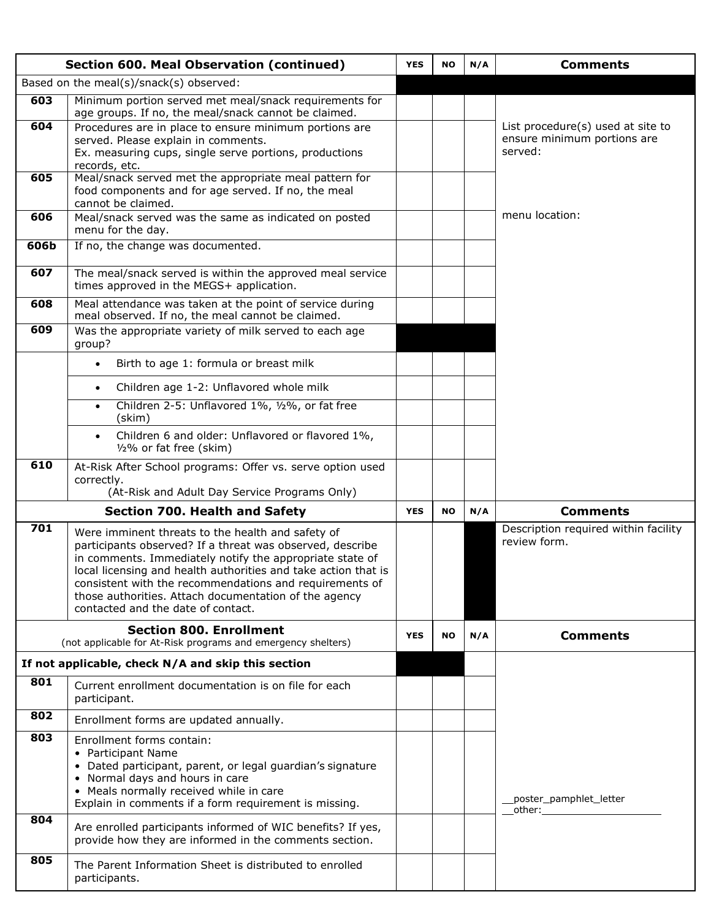|      | <b>Section 600. Meal Observation (continued)</b>                                                                                                                                                                                                                                                                                                                                                       | <b>YES</b> | <b>NO</b> | N/A | <b>Comments</b>                                                                                                                                                                                                                                         |
|------|--------------------------------------------------------------------------------------------------------------------------------------------------------------------------------------------------------------------------------------------------------------------------------------------------------------------------------------------------------------------------------------------------------|------------|-----------|-----|---------------------------------------------------------------------------------------------------------------------------------------------------------------------------------------------------------------------------------------------------------|
|      | Based on the meal(s)/snack(s) observed:                                                                                                                                                                                                                                                                                                                                                                |            |           |     |                                                                                                                                                                                                                                                         |
| 603  | Minimum portion served met meal/snack requirements for<br>age groups. If no, the meal/snack cannot be claimed.                                                                                                                                                                                                                                                                                         |            |           |     |                                                                                                                                                                                                                                                         |
| 604  | Procedures are in place to ensure minimum portions are<br>served. Please explain in comments.<br>Ex. measuring cups, single serve portions, productions<br>records, etc.                                                                                                                                                                                                                               |            |           |     | List procedure(s) used at site to<br>ensure minimum portions are<br>served:                                                                                                                                                                             |
| 605  | Meal/snack served met the appropriate meal pattern for<br>food components and for age served. If no, the meal<br>cannot be claimed.                                                                                                                                                                                                                                                                    |            |           |     |                                                                                                                                                                                                                                                         |
| 606  | Meal/snack served was the same as indicated on posted<br>menu for the day.                                                                                                                                                                                                                                                                                                                             |            |           |     | menu location:                                                                                                                                                                                                                                          |
| 606b | If no, the change was documented.                                                                                                                                                                                                                                                                                                                                                                      |            |           |     |                                                                                                                                                                                                                                                         |
| 607  | The meal/snack served is within the approved meal service<br>times approved in the MEGS+ application.                                                                                                                                                                                                                                                                                                  |            |           |     |                                                                                                                                                                                                                                                         |
| 608  | Meal attendance was taken at the point of service during<br>meal observed. If no, the meal cannot be claimed.                                                                                                                                                                                                                                                                                          |            |           |     |                                                                                                                                                                                                                                                         |
| 609  | Was the appropriate variety of milk served to each age<br>group?                                                                                                                                                                                                                                                                                                                                       |            |           |     |                                                                                                                                                                                                                                                         |
|      | Birth to age 1: formula or breast milk<br>$\bullet$                                                                                                                                                                                                                                                                                                                                                    |            |           |     |                                                                                                                                                                                                                                                         |
|      | Children age 1-2: Unflavored whole milk<br>$\bullet$                                                                                                                                                                                                                                                                                                                                                   |            |           |     |                                                                                                                                                                                                                                                         |
|      | Children 2-5: Unflavored 1%, 1/2%, or fat free<br>$\bullet$<br>(skim)                                                                                                                                                                                                                                                                                                                                  |            |           |     |                                                                                                                                                                                                                                                         |
|      | Children 6 and older: Unflavored or flavored 1%,<br>1/2% or fat free (skim)                                                                                                                                                                                                                                                                                                                            |            |           |     |                                                                                                                                                                                                                                                         |
| 610  | At-Risk After School programs: Offer vs. serve option used<br>correctly.<br>(At-Risk and Adult Day Service Programs Only)                                                                                                                                                                                                                                                                              |            |           |     |                                                                                                                                                                                                                                                         |
|      | <b>Section 700. Health and Safety</b>                                                                                                                                                                                                                                                                                                                                                                  | <b>YES</b> | <b>NO</b> | N/A | <b>Comments</b>                                                                                                                                                                                                                                         |
| 701  | Were imminent threats to the health and safety of<br>participants observed? If a threat was observed, describe<br>in comments. Immediately notify the appropriate state of<br>local licensing and health authorities and take action that is<br>consistent with the recommendations and requirements of<br>those authorities. Attach documentation of the agency<br>contacted and the date of contact. |            |           |     | Description required within facility<br>review form.                                                                                                                                                                                                    |
|      | <b>Section 800. Enrollment</b><br>(not applicable for At-Risk programs and emergency shelters)                                                                                                                                                                                                                                                                                                         | <b>YES</b> | <b>NO</b> | N/A | <b>Comments</b>                                                                                                                                                                                                                                         |
|      | If not applicable, check N/A and skip this section                                                                                                                                                                                                                                                                                                                                                     |            |           |     |                                                                                                                                                                                                                                                         |
| 801  | Current enrollment documentation is on file for each<br>participant.                                                                                                                                                                                                                                                                                                                                   |            |           |     |                                                                                                                                                                                                                                                         |
| 802  | Enrollment forms are updated annually.                                                                                                                                                                                                                                                                                                                                                                 |            |           |     |                                                                                                                                                                                                                                                         |
| 803  | Enrollment forms contain:<br>• Participant Name<br>• Dated participant, parent, or legal guardian's signature<br>• Normal days and hours in care<br>• Meals normally received while in care<br>Explain in comments if a form requirement is missing.                                                                                                                                                   |            |           |     | poster_pamphlet_letter<br>other: when the control of the control of the control of the control of the control of the control of the control of the control of the control of the control of the control of the control of the control of the control of |
| 804  | Are enrolled participants informed of WIC benefits? If yes,<br>provide how they are informed in the comments section.                                                                                                                                                                                                                                                                                  |            |           |     |                                                                                                                                                                                                                                                         |
| 805  | The Parent Information Sheet is distributed to enrolled<br>participants.                                                                                                                                                                                                                                                                                                                               |            |           |     |                                                                                                                                                                                                                                                         |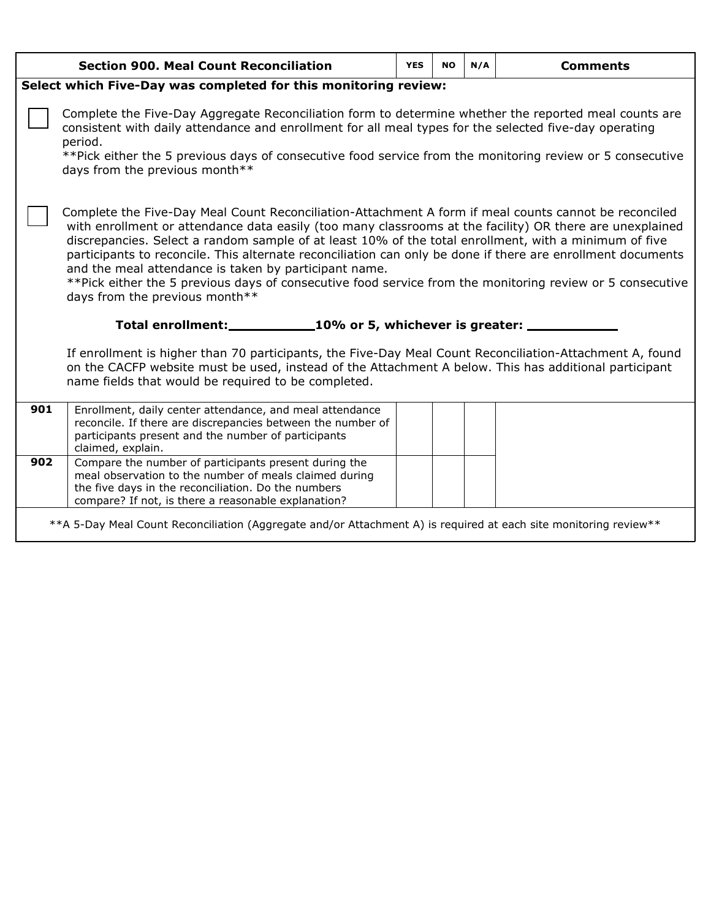|     | <b>Section 900. Meal Count Reconciliation</b>                                                                                                                                                                                                                                                                                                                                                                                                                                                                                                                                                                                                     | <b>YES</b> | <b>NO</b> | N/A | <b>Comments</b> |  |  |  |  |  |  |  |
|-----|---------------------------------------------------------------------------------------------------------------------------------------------------------------------------------------------------------------------------------------------------------------------------------------------------------------------------------------------------------------------------------------------------------------------------------------------------------------------------------------------------------------------------------------------------------------------------------------------------------------------------------------------------|------------|-----------|-----|-----------------|--|--|--|--|--|--|--|
|     | Select which Five-Day was completed for this monitoring review:                                                                                                                                                                                                                                                                                                                                                                                                                                                                                                                                                                                   |            |           |     |                 |  |  |  |  |  |  |  |
|     | Complete the Five-Day Aggregate Reconciliation form to determine whether the reported meal counts are<br>consistent with daily attendance and enrollment for all meal types for the selected five-day operating<br>period.<br>**Pick either the 5 previous days of consecutive food service from the monitoring review or 5 consecutive<br>days from the previous month**                                                                                                                                                                                                                                                                         |            |           |     |                 |  |  |  |  |  |  |  |
|     | Complete the Five-Day Meal Count Reconciliation-Attachment A form if meal counts cannot be reconciled<br>with enrollment or attendance data easily (too many classrooms at the facility) OR there are unexplained<br>discrepancies. Select a random sample of at least 10% of the total enrollment, with a minimum of five<br>participants to reconcile. This alternate reconciliation can only be done if there are enrollment documents<br>and the meal attendance is taken by participant name.<br>**Pick either the 5 previous days of consecutive food service from the monitoring review or 5 consecutive<br>days from the previous month** |            |           |     |                 |  |  |  |  |  |  |  |
|     | Total enrollment: 10% or 5, whichever is greater: ______                                                                                                                                                                                                                                                                                                                                                                                                                                                                                                                                                                                          |            |           |     |                 |  |  |  |  |  |  |  |
|     | If enrollment is higher than 70 participants, the Five-Day Meal Count Reconciliation-Attachment A, found<br>on the CACFP website must be used, instead of the Attachment A below. This has additional participant<br>name fields that would be required to be completed.                                                                                                                                                                                                                                                                                                                                                                          |            |           |     |                 |  |  |  |  |  |  |  |
| 901 | Enrollment, daily center attendance, and meal attendance<br>reconcile. If there are discrepancies between the number of<br>participants present and the number of participants<br>claimed, explain.                                                                                                                                                                                                                                                                                                                                                                                                                                               |            |           |     |                 |  |  |  |  |  |  |  |
| 902 | Compare the number of participants present during the<br>meal observation to the number of meals claimed during<br>the five days in the reconciliation. Do the numbers<br>compare? If not, is there a reasonable explanation?                                                                                                                                                                                                                                                                                                                                                                                                                     |            |           |     |                 |  |  |  |  |  |  |  |
|     | **A 5-Day Meal Count Reconciliation (Aggregate and/or Attachment A) is required at each site monitoring review**                                                                                                                                                                                                                                                                                                                                                                                                                                                                                                                                  |            |           |     |                 |  |  |  |  |  |  |  |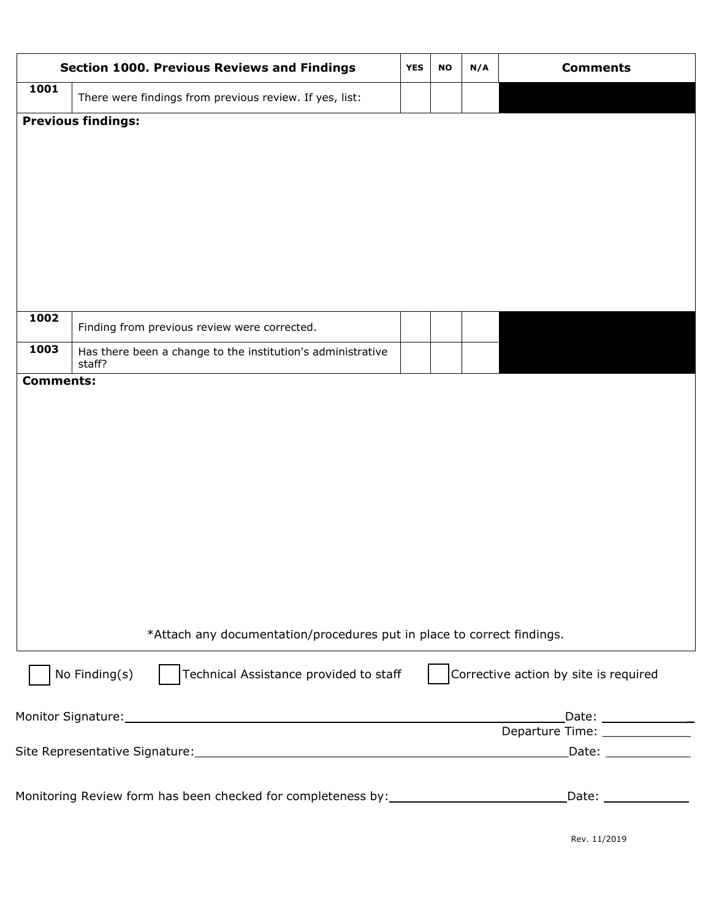| <b>Section 1000. Previous Reviews and Findings</b><br>1001<br>There were findings from previous review. If yes, list:<br><b>Previous findings:</b><br>1002<br>Finding from previous review were corrected.<br>1003<br>staff?<br><b>Comments:</b><br>No Finding(s) |  |  | N/A | <b>Comments</b>                                           |
|-------------------------------------------------------------------------------------------------------------------------------------------------------------------------------------------------------------------------------------------------------------------|--|--|-----|-----------------------------------------------------------|
|                                                                                                                                                                                                                                                                   |  |  |     |                                                           |
|                                                                                                                                                                                                                                                                   |  |  |     |                                                           |
|                                                                                                                                                                                                                                                                   |  |  |     |                                                           |
| Has there been a change to the institution's administrative                                                                                                                                                                                                       |  |  |     |                                                           |
| *Attach any documentation/procedures put in place to correct findings.                                                                                                                                                                                            |  |  |     |                                                           |
| Technical Assistance provided to staff                                                                                                                                                                                                                            |  |  |     | Corrective action by site is required                     |
|                                                                                                                                                                                                                                                                   |  |  |     | _Date: _________________<br>Departure Time: _____________ |
|                                                                                                                                                                                                                                                                   |  |  |     |                                                           |
| Monitoring Review form has been checked for completeness by: ________________________________Date: ___________                                                                                                                                                    |  |  |     |                                                           |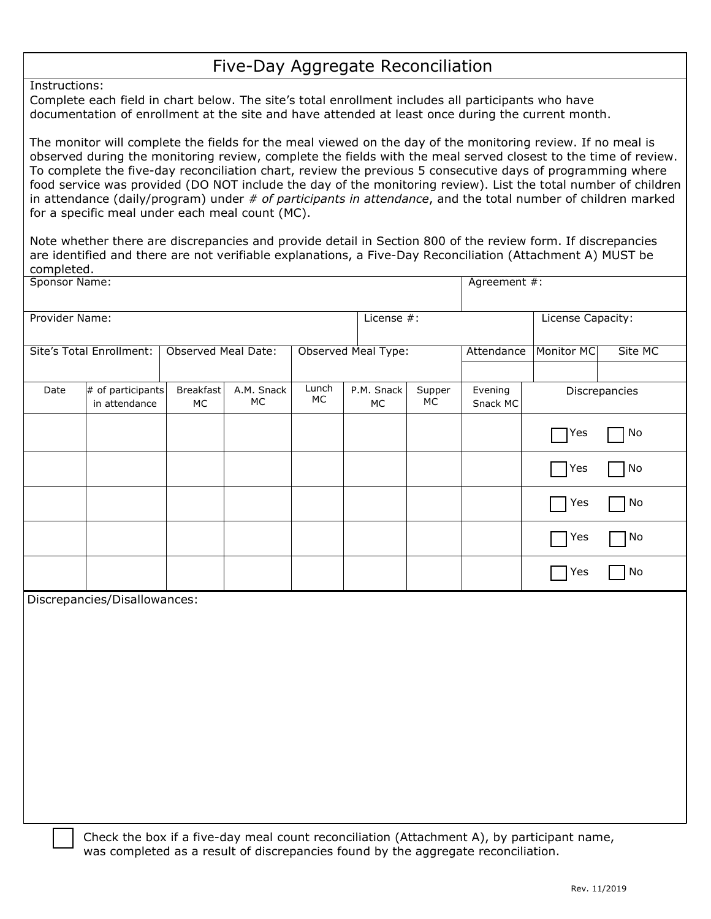## Five-Day Aggregate Reconciliation

Instructions:

 Complete each field in chart below. The site's total enrollment includes all participants who have documentation of enrollment at the site and have attended at least once during the current month.

 The monitor will complete the fields for the meal viewed on the day of the monitoring review. If no meal is observed during the monitoring review, complete the fields with the meal served closest to the time of review. To complete the five-day reconciliation chart, review the previous 5 consecutive days of programming where food service was provided (DO NOT include the day of the monitoring review). List the total number of children  in attendance (daily/program) under *# of participants in attendance*, and the total number of children marked for a specific meal under each meal count (MC).

 Note whether there are discrepancies and provide detail in Section 800 of the review form. If discrepancies are identified and there are not verifiable explanations, a Five-Day Reconciliation (Attachment A) MUST be completed.

| <b>Sponsor Name:</b> |                                    |                            |                    |           |                     |                     | Agreement #:        |                   |                              |
|----------------------|------------------------------------|----------------------------|--------------------|-----------|---------------------|---------------------|---------------------|-------------------|------------------------------|
|                      |                                    |                            |                    |           |                     |                     |                     |                   |                              |
| Provider Name:       |                                    |                            |                    |           | License #:          |                     |                     | License Capacity: |                              |
|                      | <b>Site's Total Enrollment:</b>    | <b>Observed Meal Date:</b> |                    |           | Observed Meal Type: |                     | Attendance          | Monitor MC        | Site MC                      |
|                      |                                    |                            |                    |           |                     |                     |                     |                   |                              |
|                      |                                    |                            |                    | Lunch     |                     |                     |                     |                   |                              |
| Date                 | # of participants<br>in attendance | Breakfast<br>MC            | A.M. Snack<br>$MC$ | <b>MC</b> | P.M. Snack<br>$MC$  | Supper<br><b>MC</b> | Evening<br>Snack MC |                   | Discrepancies                |
|                      |                                    |                            |                    |           |                     |                     |                     | Yes               | No                           |
|                      |                                    |                            |                    |           |                     |                     |                     | $\bigcap$ Yes     | No                           |
|                      |                                    |                            |                    |           |                     |                     |                     | Yes               | $\operatorname{\mathsf{No}}$ |
|                      |                                    |                            |                    |           |                     |                     |                     | Yes               | No                           |
|                      |                                    |                            |                    |           |                     |                     |                     | Yes               | $\mathsf{No}$                |
|                      | Discrepancies/Disallowances:       |                            |                    |           |                     |                     |                     |                   |                              |
|                      |                                    |                            |                    |           |                     |                     |                     |                   |                              |
|                      |                                    |                            |                    |           |                     |                     |                     |                   |                              |
|                      |                                    |                            |                    |           |                     |                     |                     |                   |                              |
|                      |                                    |                            |                    |           |                     |                     |                     |                   |                              |
|                      |                                    |                            |                    |           |                     |                     |                     |                   |                              |
|                      |                                    |                            |                    |           |                     |                     |                     |                   |                              |
|                      |                                    |                            |                    |           |                     |                     |                     |                   |                              |
|                      |                                    |                            |                    |           |                     |                     |                     |                   |                              |
|                      |                                    |                            |                    |           |                     |                     |                     |                   |                              |
|                      |                                    |                            |                    |           |                     |                     |                     |                   |                              |
|                      |                                    |                            |                    |           |                     |                     |                     |                   |                              |